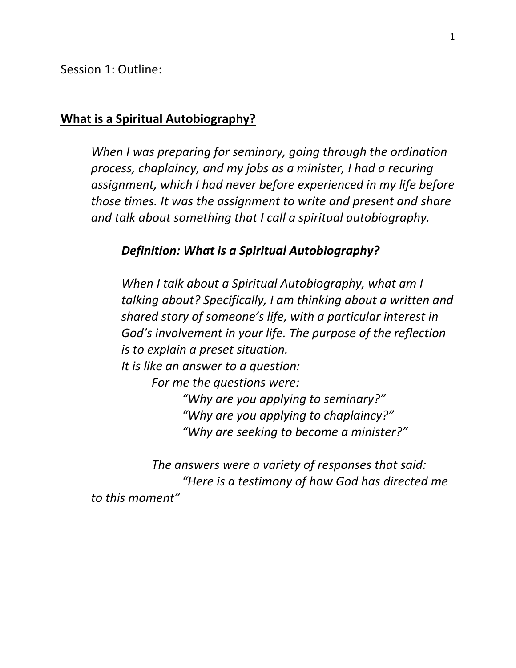Session 1: Outline:

#### **What is a Spiritual Autobiography?**

*When I was preparing for seminary, going through the ordination process, chaplaincy, and my jobs as a minister, I had a recuring assignment, which I had never before experienced in my life before those times. It was the assignment to write and present and share and talk about something that I call a spiritual autobiography.* 

#### *Definition: What is a Spiritual Autobiography?*

*When I talk about a Spiritual Autobiography, what am I talking about? Specifically, I am thinking about a written and shared story of someone's life, with a particular interest in God's involvement in your life. The purpose of the reflection is to explain a preset situation. It is like an answer to a question: For me the questions were: "Why are you applying to seminary?" "Why are you applying to chaplaincy?" "Why are seeking to become a minister?"* 

*The answers were a variety of responses that said: "Here is a testimony of how God has directed me to this moment"*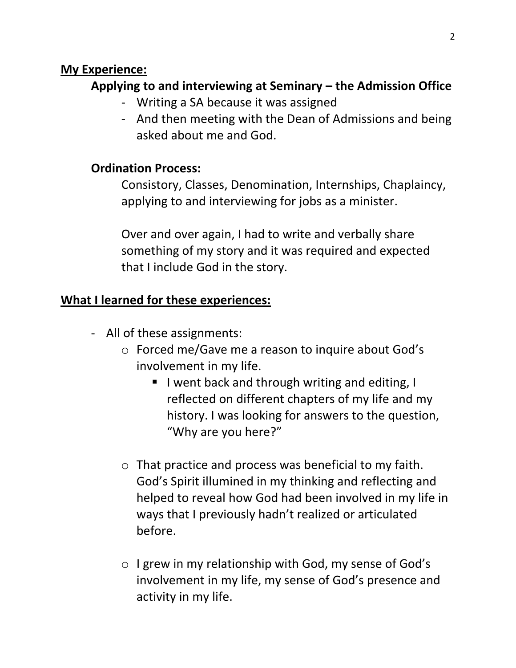### **My Experience:**

## **Applying to and interviewing at Seminary – the Admission Office**

- Writing a SA because it was assigned
- And then meeting with the Dean of Admissions and being asked about me and God.

## **Ordination Process:**

Consistory, Classes, Denomination, Internships, Chaplaincy, applying to and interviewing for jobs as a minister.

Over and over again, I had to write and verbally share something of my story and it was required and expected that I include God in the story.

## **What I learned for these experiences:**

- All of these assignments:
	- o Forced me/Gave me a reason to inquire about God's involvement in my life.
		- I went back and through writing and editing, I reflected on different chapters of my life and my history. I was looking for answers to the question, "Why are you here?"
	- o That practice and process was beneficial to my faith. God's Spirit illumined in my thinking and reflecting and helped to reveal how God had been involved in my life in ways that I previously hadn't realized or articulated before.
	- o I grew in my relationship with God, my sense of God's involvement in my life, my sense of God's presence and activity in my life.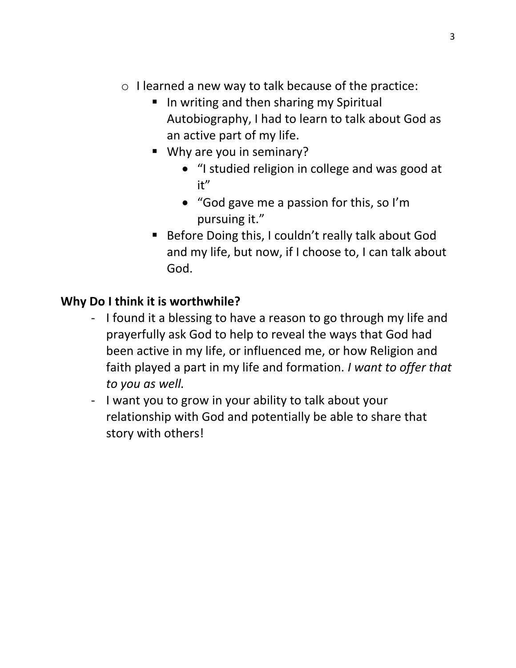- o I learned a new way to talk because of the practice:
	- In writing and then sharing my Spiritual Autobiography, I had to learn to talk about God as an active part of my life.
	- Why are you in seminary?
		- "I studied religion in college and was good at it"
		- "God gave me a passion for this, so I'm pursuing it."
	- Before Doing this, I couldn't really talk about God and my life, but now, if I choose to, I can talk about God.

# **Why Do I think it is worthwhile?**

- I found it a blessing to have a reason to go through my life and prayerfully ask God to help to reveal the ways that God had been active in my life, or influenced me, or how Religion and faith played a part in my life and formation. *I want to offer that to you as well.*
- I want you to grow in your ability to talk about your relationship with God and potentially be able to share that story with others!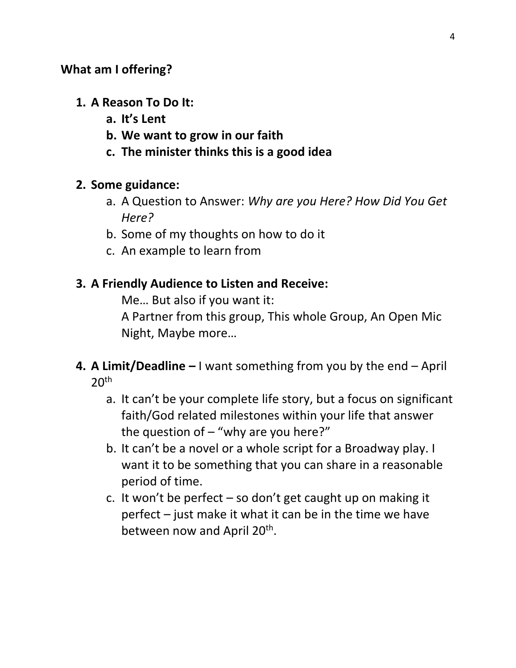## **What am I offering?**

- **1. A Reason To Do It:** 
	- **a. It's Lent**
	- **b. We want to grow in our faith**
	- **c. The minister thinks this is a good idea**

## **2. Some guidance:**

- a. A Question to Answer: *Why are you Here? How Did You Get Here?*
- b. Some of my thoughts on how to do it
- c. An example to learn from

## **3. A Friendly Audience to Listen and Receive:**

Me… But also if you want it:

A Partner from this group, This whole Group, An Open Mic Night, Maybe more…

- **4. A Limit/Deadline –** I want something from you by the end April  $20<sup>th</sup>$ 
	- a. It can't be your complete life story, but a focus on significant faith/God related milestones within your life that answer the question of  $-$  "why are you here?"
	- b. It can't be a novel or a whole script for a Broadway play. I want it to be something that you can share in a reasonable period of time.
	- c. It won't be perfect so don't get caught up on making it perfect – just make it what it can be in the time we have between now and April 20<sup>th</sup>.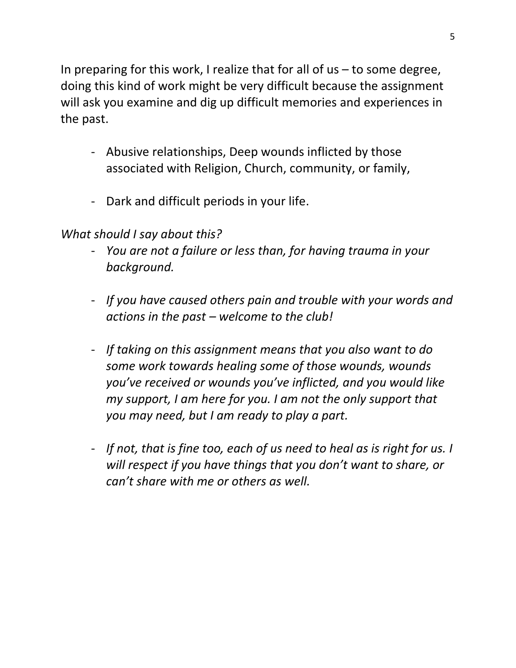In preparing for this work, I realize that for all of  $us - to$  some degree, doing this kind of work might be very difficult because the assignment will ask you examine and dig up difficult memories and experiences in the past.

- Abusive relationships, Deep wounds inflicted by those associated with Religion, Church, community, or family,
- Dark and difficult periods in your life.

## *What should I say about this?*

- *You are not a failure or less than, for having trauma in your background.*
- *If you have caused others pain and trouble with your words and actions in the past – welcome to the club!*
- *If taking on this assignment means that you also want to do some work towards healing some of those wounds, wounds you've received or wounds you've inflicted, and you would like my support, I am here for you. I am not the only support that you may need, but I am ready to play a part.*
- *If not, that is fine too, each of us need to heal as is right for us. I will respect if you have things that you don't want to share, or can't share with me or others as well.*